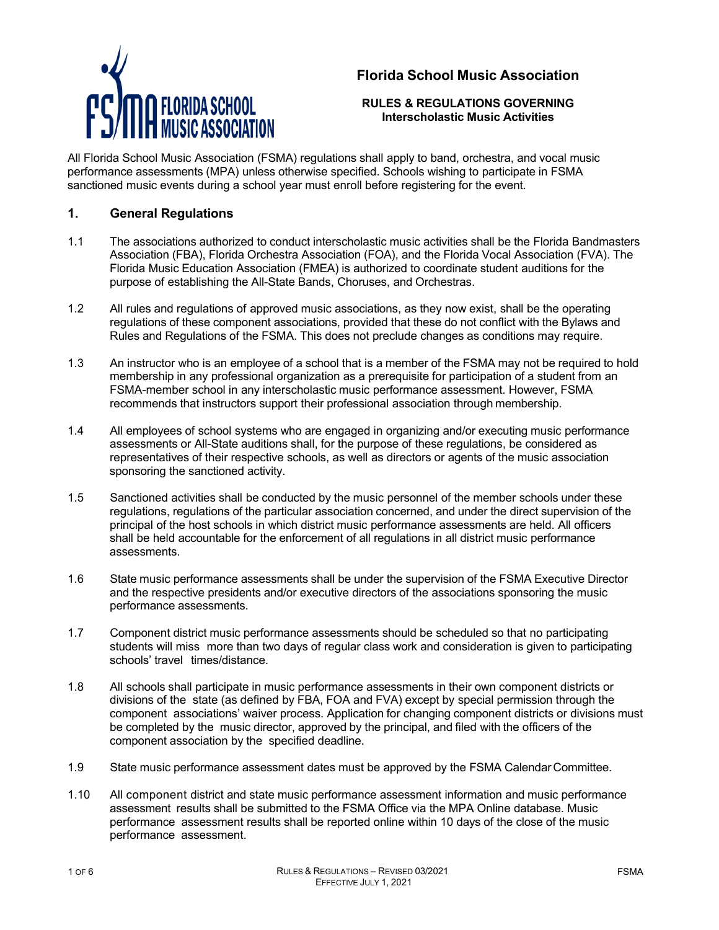# **Florida School Music Association**



#### **RULES & REGULATIONS GOVERNING Interscholastic Music Activities**

All Florida School Music Association (FSMA) regulations shall apply to band, orchestra, and vocal music performance assessments (MPA) unless otherwise specified. Schools wishing to participate in FSMA sanctioned music events during a school year must enroll before registering for the event.

## **1. General Regulations**

- 1.1 The associations authorized to conduct interscholastic music activities shall be the Florida Bandmasters Association (FBA), Florida Orchestra Association (FOA), and the Florida Vocal Association (FVA). The Florida Music Education Association (FMEA) is authorized to coordinate student auditions for the purpose of establishing the All-State Bands, Choruses, and Orchestras.
- 1.2 All rules and regulations of approved music associations, as they now exist, shall be the operating regulations of these component associations, provided that these do not conflict with the Bylaws and Rules and Regulations of the FSMA. This does not preclude changes as conditions may require.
- 1.3 An instructor who is an employee of a school that is a member of the FSMA may not be required to hold membership in any professional organization as a prerequisite for participation of a student from an FSMA-member school in any interscholastic music performance assessment. However, FSMA recommends that instructors support their professional association through membership.
- 1.4 All employees of school systems who are engaged in organizing and/or executing music performance assessments or All-State auditions shall, for the purpose of these regulations, be considered as representatives of their respective schools, as well as directors or agents of the music association sponsoring the sanctioned activity.
- 1.5 Sanctioned activities shall be conducted by the music personnel of the member schools under these regulations, regulations of the particular association concerned, and under the direct supervision of the principal of the host schools in which district music performance assessments are held. All officers shall be held accountable for the enforcement of all regulations in all district music performance assessments.
- 1.6 State music performance assessments shall be under the supervision of the FSMA Executive Director and the respective presidents and/or executive directors of the associations sponsoring the music performance assessments.
- 1.7 Component district music performance assessments should be scheduled so that no participating students will miss more than two days of regular class work and consideration is given to participating schools' travel times/distance.
- 1.8 All schools shall participate in music performance assessments in their own component districts or divisions of the state (as defined by FBA, FOA and FVA) except by special permission through the component associations' waiver process. Application for changing component districts or divisions must be completed by the music director, approved by the principal, and filed with the officers of the component association by the specified deadline.
- 1.9 State music performance assessment dates must be approved by the FSMA CalendarCommittee.
- 1.10 All component district and state music performance assessment information and music performance assessment results shall be submitted to the FSMA Office via the MPA Online database. Music performance assessment results shall be reported online within 10 days of the close of the music performance assessment.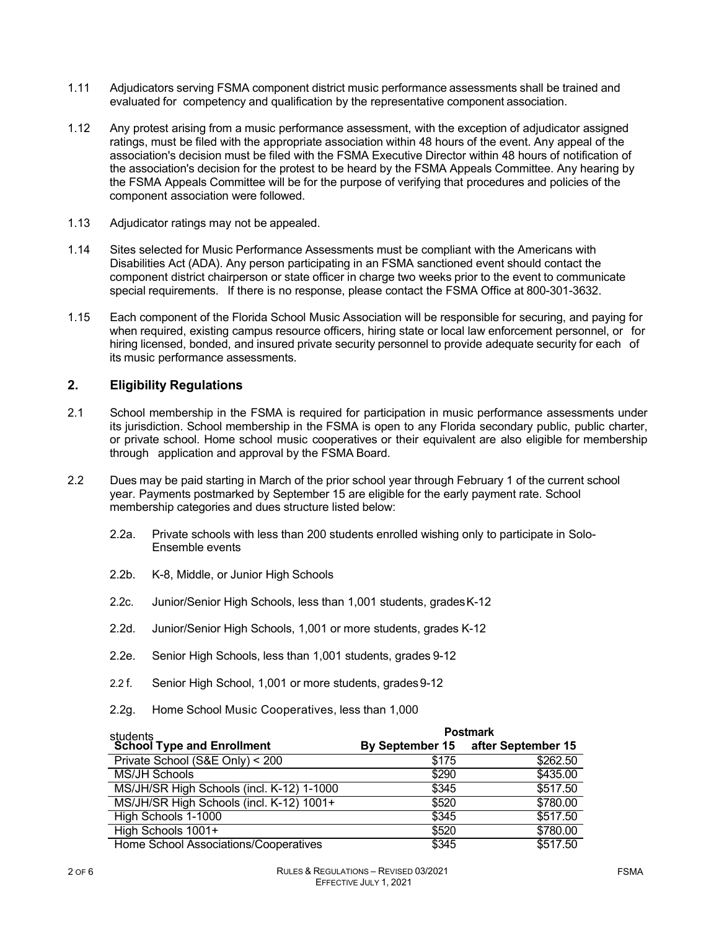- 1.11 Adjudicators serving FSMA component district music performance assessments shall be trained and evaluated for competency and qualification by the representative component association.
- 1.12 Any protest arising from a music performance assessment, with the exception of adjudicator assigned ratings, must be filed with the appropriate association within 48 hours of the event. Any appeal of the association's decision must be filed with the FSMA Executive Director within 48 hours of notification of the association's decision for the protest to be heard by the FSMA Appeals Committee. Any hearing by the FSMA Appeals Committee will be for the purpose of verifying that procedures and policies of the component association were followed.
- 1.13 Adjudicator ratings may not be appealed.
- 1.14 Sites selected for Music Performance Assessments must be compliant with the Americans with Disabilities Act (ADA). Any person participating in an FSMA sanctioned event should contact the component district chairperson or state officer in charge two weeks prior to the event to communicate special requirements. If there is no response, please contact the FSMA Office at 800-301-3632.
- 1.15 Each component of the Florida School Music Association will be responsible for securing, and paying for when required, existing campus resource officers, hiring state or local law enforcement personnel, or for hiring licensed, bonded, and insured private security personnel to provide adequate security for each of its music performance assessments.

## **2. Eligibility Regulations**

- 2.1 School membership in the FSMA is required for participation in music performance assessments under its jurisdiction. School membership in the FSMA is open to any Florida secondary public, public charter, or private school. Home school music cooperatives or their equivalent are also eligible for membership through application and approval by the FSMA Board.
- 2.2 Dues may be paid starting in March of the prior school year through February 1 of the current school year. Payments postmarked by September 15 are eligible for the early payment rate. School membership categories and dues structure listed below:
	- 2.2a. Private schools with less than 200 students enrolled wishing only to participate in Solo-Ensemble events
	- 2.2b. K-8, Middle, or Junior High Schools
	- 2.2c. Junior/Senior High Schools, less than 1,001 students, gradesK-12
	- 2.2d. Junior/Senior High Schools, 1,001 or more students, grades K-12
	- 2.2e. Senior High Schools, less than 1,001 students, grades 9-12
	- 2.2 f. Senior High School, 1,001 or more students, grades 9-12
	- 2.2g. Home School Music Cooperatives, less than 1,000

|                                           | <b>Postmark</b> |                                    |
|-------------------------------------------|-----------------|------------------------------------|
| students<br>School Type and Enrollment    |                 | By September 15 after September 15 |
| Private School (S&E Only) < 200           | \$175           | \$262.50                           |
| MS/JH Schools                             | \$290           | \$435.00                           |
| MS/JH/SR High Schools (incl. K-12) 1-1000 | \$345           | \$517.50                           |
| MS/JH/SR High Schools (incl. K-12) 1001+  | \$520           | \$780.00                           |
| High Schools 1-1000                       | \$345           | \$517.50                           |
| High Schools 1001+                        | \$520           | \$780.00                           |
| Home School Associations/Cooperatives     | \$345           | \$517.50                           |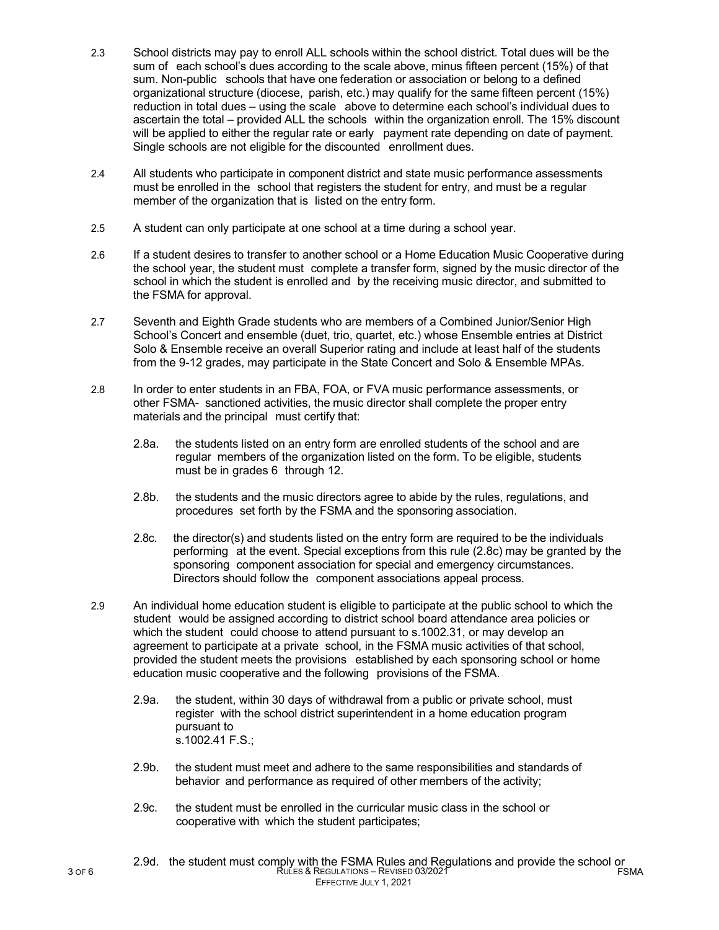- 2.3 School districts may pay to enroll ALL schools within the school district. Total dues will be the sum of each school's dues according to the scale above, minus fifteen percent (15%) of that sum. Non-public schools that have one federation or association or belong to a defined organizational structure (diocese, parish, etc.) may qualify for the same fifteen percent (15%) reduction in total dues – using the scale above to determine each school's individual dues to ascertain the total – provided ALL the schools within the organization enroll. The 15% discount will be applied to either the regular rate or early payment rate depending on date of payment. Single schools are not eligible for the discounted enrollment dues.
- 2.4 All students who participate in component district and state music performance assessments must be enrolled in the school that registers the student for entry, and must be a regular member of the organization that is listed on the entry form.
- 2.5 A student can only participate at one school at a time during a school year.
- 2.6 If a student desires to transfer to another school or a Home Education Music Cooperative during the school year, the student must complete a transfer form, signed by the music director of the school in which the student is enrolled and by the receiving music director, and submitted to the FSMA for approval.
- 2.7 Seventh and Eighth Grade students who are members of a Combined Junior/Senior High School's Concert and ensemble (duet, trio, quartet, etc.) whose Ensemble entries at District Solo & Ensemble receive an overall Superior rating and include at least half of the students from the 9-12 grades, may participate in the State Concert and Solo & Ensemble MPAs.
- 2.8 In order to enter students in an FBA, FOA, or FVA music performance assessments, or other FSMA- sanctioned activities, the music director shall complete the proper entry materials and the principal must certify that:
	- 2.8a. the students listed on an entry form are enrolled students of the school and are regular members of the organization listed on the form. To be eligible, students must be in grades 6 through 12.
	- 2.8b. the students and the music directors agree to abide by the rules, regulations, and procedures set forth by the FSMA and the sponsoring association.
	- 2.8c. the director(s) and students listed on the entry form are required to be the individuals performing at the event. Special exceptions from this rule (2.8c) may be granted by the sponsoring component association for special and emergency circumstances. Directors should follow the component associations appeal process.
- 2.9 An individual home education student is eligible to participate at the public school to which the student would be assigned according to district school board attendance area policies or which the student could choose to attend pursuant to s.1002.31, or may develop an agreement to participate at a private school, in the FSMA music activities of that school, provided the student meets the provisions established by each sponsoring school or home education music cooperative and the following provisions of the FSMA.
	- 2.9a. the student, within 30 days of withdrawal from a public or private school, must register with the school district superintendent in a home education program pursuant to s.1002.41 F.S.;
	- 2.9b. the student must meet and adhere to the same responsibilities and standards of behavior and performance as required of other members of the activity;
	- 2.9c. the student must be enrolled in the curricular music class in the school or cooperative with which the student participates;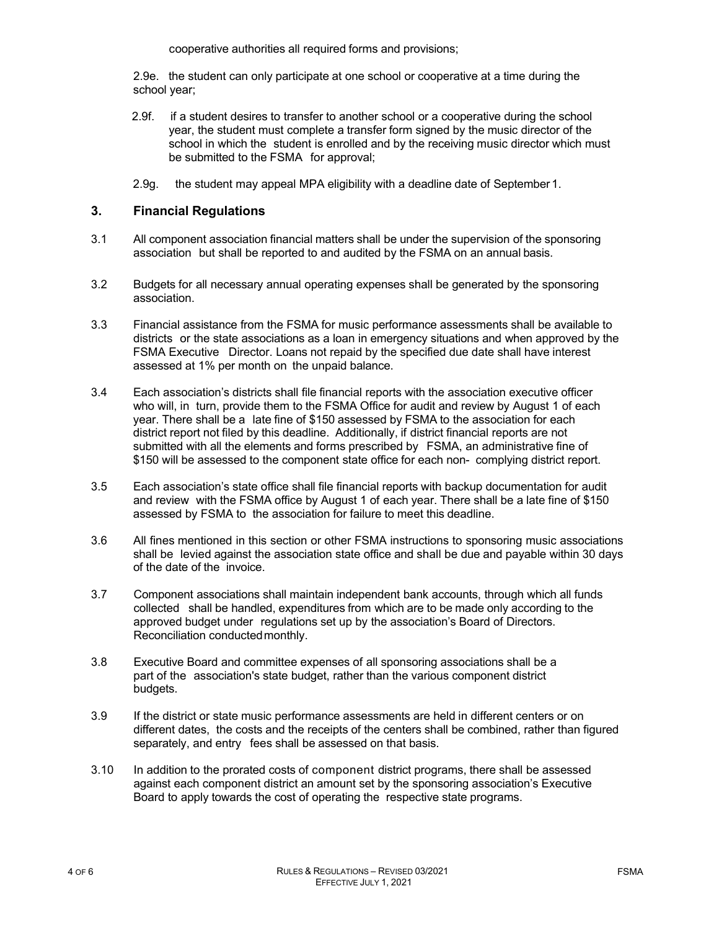cooperative authorities all required forms and provisions;

2.9e. the student can only participate at one school or cooperative at a time during the school year;

- 2.9f. if a student desires to transfer to another school or a cooperative during the school year, the student must complete a transfer form signed by the music director of the school in which the student is enrolled and by the receiving music director which must be submitted to the FSMA for approval;
- 2.9g. the student may appeal MPA eligibility with a deadline date of September 1.

#### **3. Financial Regulations**

- 3.1 All component association financial matters shall be under the supervision of the sponsoring association but shall be reported to and audited by the FSMA on an annual basis.
- 3.2 Budgets for all necessary annual operating expenses shall be generated by the sponsoring association.
- 3.3 Financial assistance from the FSMA for music performance assessments shall be available to districts or the state associations as a loan in emergency situations and when approved by the FSMA Executive Director. Loans not repaid by the specified due date shall have interest assessed at 1% per month on the unpaid balance.
- 3.4 Each association's districts shall file financial reports with the association executive officer who will, in turn, provide them to the FSMA Office for audit and review by August 1 of each year. There shall be a late fine of \$150 assessed by FSMA to the association for each district report not filed by this deadline. Additionally, if district financial reports are not submitted with all the elements and forms prescribed by FSMA, an administrative fine of \$150 will be assessed to the component state office for each non- complying district report.
- 3.5 Each association's state office shall file financial reports with backup documentation for audit and review with the FSMA office by August 1 of each year. There shall be a late fine of \$150 assessed by FSMA to the association for failure to meet this deadline.
- 3.6 All fines mentioned in this section or other FSMA instructions to sponsoring music associations shall be levied against the association state office and shall be due and payable within 30 days of the date of the invoice.
- 3.7 Component associations shall maintain independent bank accounts, through which all funds collected shall be handled, expenditures from which are to be made only according to the approved budget under regulations set up by the association's Board of Directors. Reconciliation conductedmonthly.
- 3.8 Executive Board and committee expenses of all sponsoring associations shall be a part of the association's state budget, rather than the various component district budgets.
- 3.9 If the district or state music performance assessments are held in different centers or on different dates, the costs and the receipts of the centers shall be combined, rather than figured separately, and entry fees shall be assessed on that basis.
- 3.10 In addition to the prorated costs of component district programs, there shall be assessed against each component district an amount set by the sponsoring association's Executive Board to apply towards the cost of operating the respective state programs.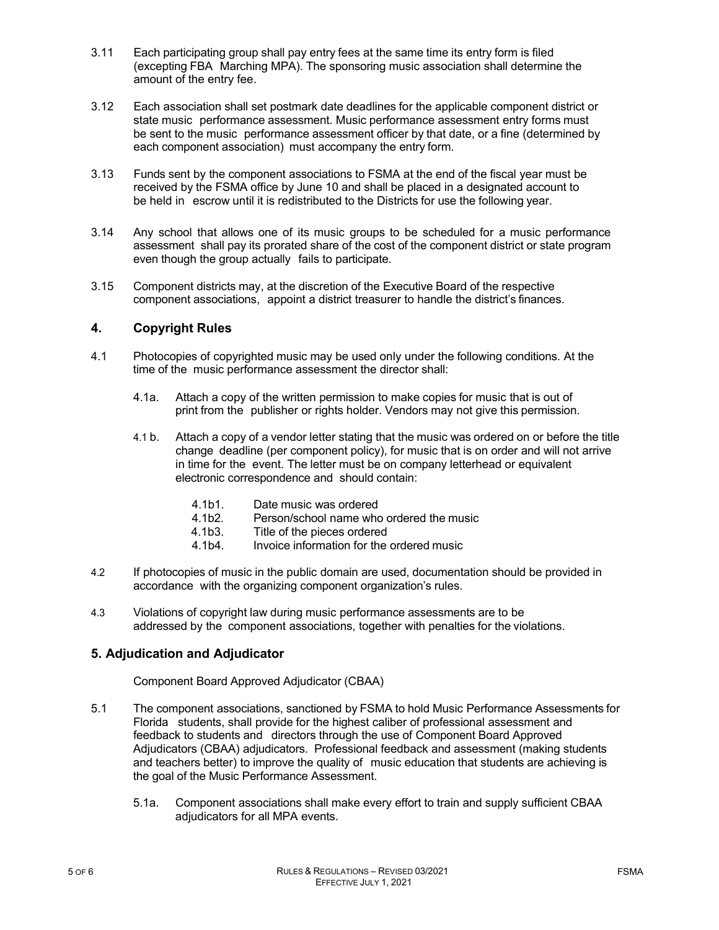- 3.11 Each participating group shall pay entry fees at the same time its entry form is filed (excepting FBA Marching MPA). The sponsoring music association shall determine the amount of the entry fee.
- 3.12 Each association shall set postmark date deadlines for the applicable component district or state music performance assessment. Music performance assessment entry forms must be sent to the music performance assessment officer by that date, or a fine (determined by each component association) must accompany the entry form.
- 3.13 Funds sent by the component associations to FSMA at the end of the fiscal year must be received by the FSMA office by June 10 and shall be placed in a designated account to be held in escrow until it is redistributed to the Districts for use the following year.
- 3.14 Any school that allows one of its music groups to be scheduled for a music performance assessment shall pay its prorated share of the cost of the component district or state program even though the group actually fails to participate.
- 3.15 Component districts may, at the discretion of the Executive Board of the respective component associations, appoint a district treasurer to handle the district's finances.

#### **4. Copyright Rules**

- 4.1 Photocopies of copyrighted music may be used only under the following conditions. At the time of the music performance assessment the director shall:
	- 4.1a. Attach a copy of the written permission to make copies for music that is out of print from the publisher or rights holder. Vendors may not give this permission.
	- 4.1 b. Attach a copy of a vendor letter stating that the music was ordered on or before the title change deadline (per component policy), for music that is on order and will not arrive in time for the event. The letter must be on company letterhead or equivalent electronic correspondence and should contain:
		- 4.1b1. Date music was ordered<br>4.1b2. Person/school name who
		- Person/school name who ordered the music
		- 4.1b3. Title of the pieces ordered
		- 4.1b4. Invoice information for the ordered music
- 4.2 If photocopies of music in the public domain are used, documentation should be provided in accordance with the organizing component organization's rules.
- 4.3 Violations of copyright law during music performance assessments are to be addressed by the component associations, together with penalties for the violations.

#### **5. Adjudication and Adjudicator**

Component Board Approved Adjudicator (CBAA)

- 5.1 The component associations, sanctioned by FSMA to hold Music Performance Assessments for Florida students, shall provide for the highest caliber of professional assessment and feedback to students and directors through the use of Component Board Approved Adjudicators (CBAA) adjudicators. Professional feedback and assessment (making students and teachers better) to improve the quality of music education that students are achieving is the goal of the Music Performance Assessment.
	- 5.1a. Component associations shall make every effort to train and supply sufficient CBAA adjudicators for all MPA events.